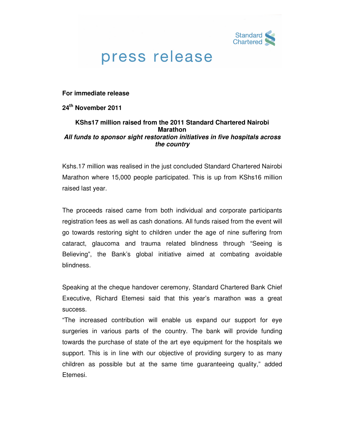

## press release

**For immediate release** 

**24th November 2011** 

## **KShs17 million raised from the 2011 Standard Chartered Nairobi Marathon All funds to sponsor sight restoration initiatives in five hospitals across the country**

Kshs.17 million was realised in the just concluded Standard Chartered Nairobi Marathon where 15,000 people participated. This is up from KShs16 million raised last year.

The proceeds raised came from both individual and corporate participants registration fees as well as cash donations. All funds raised from the event will go towards restoring sight to children under the age of nine suffering from cataract, glaucoma and trauma related blindness through "Seeing is Believing", the Bank's global initiative aimed at combating avoidable blindness.

Speaking at the cheque handover ceremony, Standard Chartered Bank Chief Executive, Richard Etemesi said that this year's marathon was a great success.

"The increased contribution will enable us expand our support for eye surgeries in various parts of the country. The bank will provide funding towards the purchase of state of the art eye equipment for the hospitals we support. This is in line with our objective of providing surgery to as many children as possible but at the same time guaranteeing quality," added Etemesi.